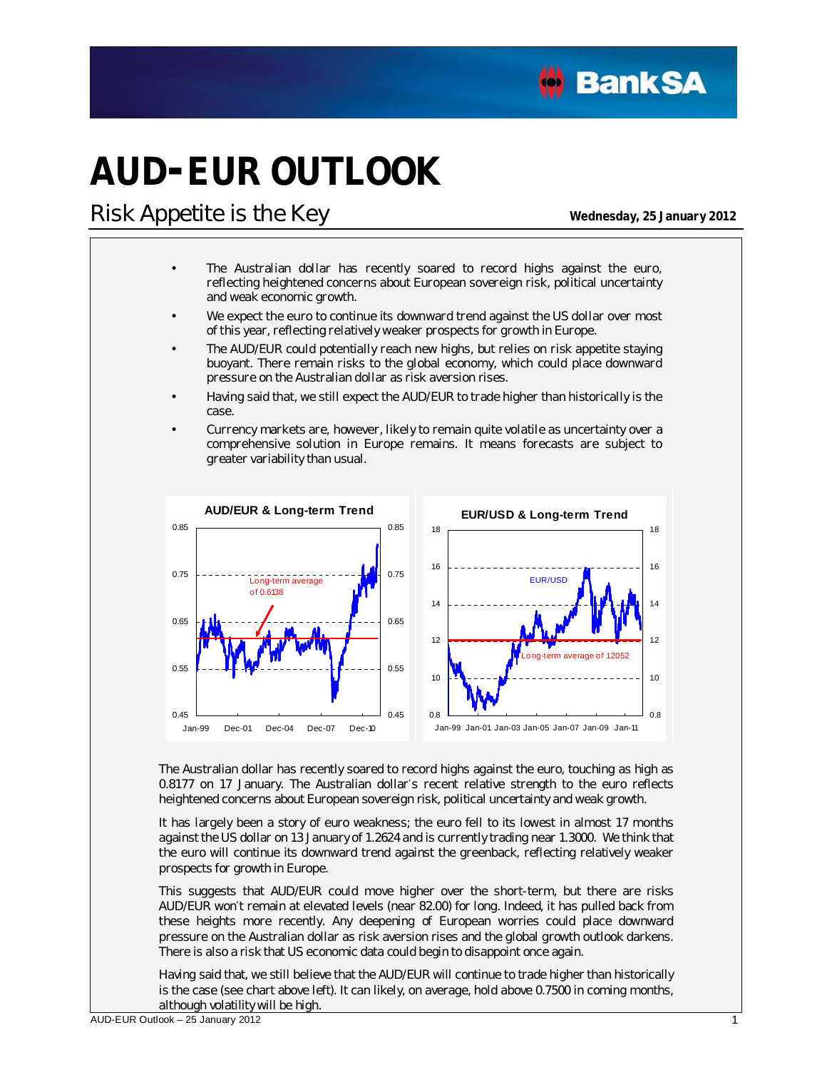

# **AUD-EUR OUTLOOK**

### **Risk Appetite is the Key Wednesday**, 25 January 2012

- The Australian dollar has recently soared to record highs against the euro, reflecting heightened concerns about European sovereign risk, political uncertainty and weak economic growth.
- We expect the euro to continue its downward trend against the US dollar over most of this year, reflecting relatively weaker prospects for growth in Europe.
- The AUD/EUR could potentially reach new highs, but relies on risk appetite staying buoyant. There remain risks to the global economy, which could place downward pressure on the Australian dollar as risk aversion rises.
- Having said that, we still expect the AUD/EUR to trade higher than historically is the case.
- Currency markets are, however, likely to remain quite volatile as uncertainty over a comprehensive solution in Europe remains. It means forecasts are subject to greater variability than usual.



The Australian dollar has recently soared to record highs against the euro, touching as high as 0.8177 on 17 January. The Australian dollar's recent relative strength to the euro reflects heightened concerns about European sovereign risk, political uncertainty and weak growth.

It has largely been a story of euro weakness; the euro fell to its lowest in almost 17 months against the US dollar on 13 January of 1.2624 and is currently trading near 1.3000. We think that the euro will continue its downward trend against the greenback, reflecting relatively weaker prospects for growth in Europe.

This suggests that AUD/EUR could move higher over the short-term, but there are risks AUD/EUR won't remain at elevated levels (near 82.00) for long. Indeed, it has pulled back from these heights more recently. Any deepening of European worries could place downward pressure on the Australian dollar as risk aversion rises and the global growth outlook darkens. There is also a risk that US economic data could begin to disappoint once again.

Having said that, we still believe that the AUD/EUR will continue to trade higher than historically is the case (see chart above left). It can likely, on average, hold above 0.7500 in coming months, although volatility will be high.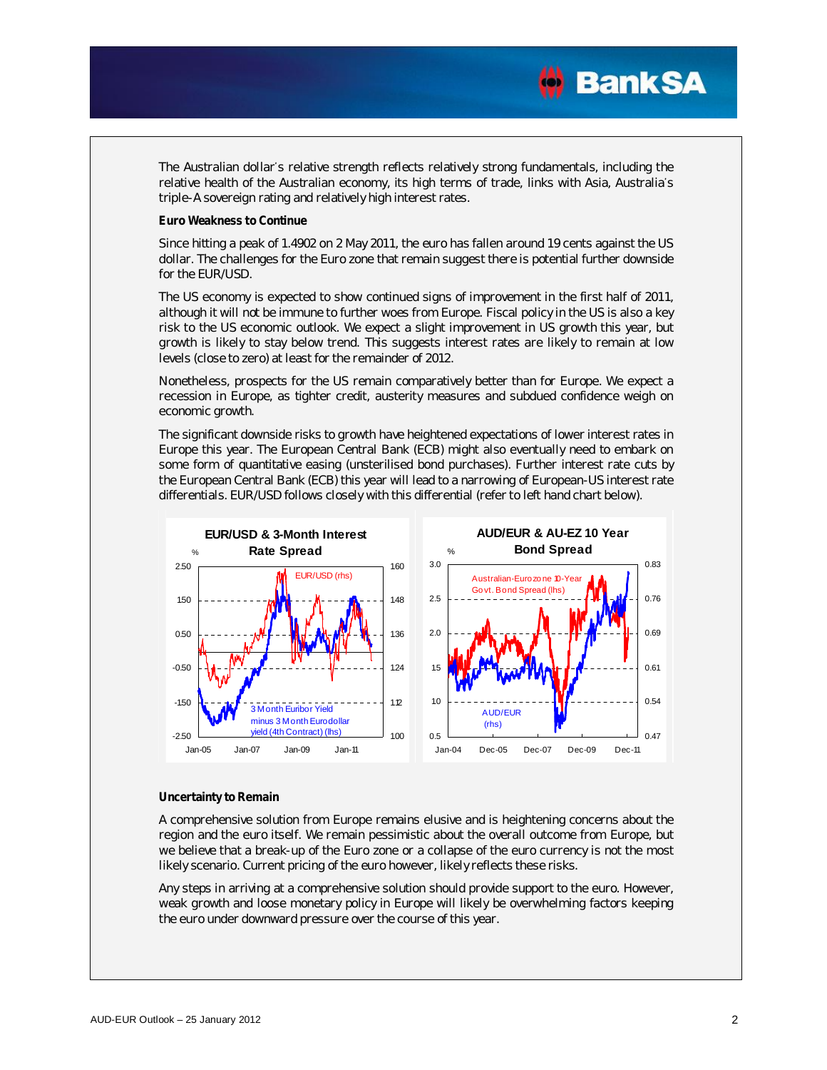

The Australian dollar's relative strength reflects relatively strong fundamentals, including the relative health of the Australian economy, its high terms of trade, links with Asia, Australia's triple-A sovereign rating and relatively high interest rates.

**Euro Weakness to Continue** 

Since hitting a peak of 1.4902 on 2 May 2011, the euro has fallen around 19 cents against the US dollar. The challenges for the Euro zone that remain suggest there is potential further downside for the EUR/USD.

The US economy is expected to show continued signs of improvement in the first half of 2011, although it will not be immune to further woes from Europe. Fiscal policy in the US is also a key risk to the US economic outlook. We expect a slight improvement in US growth this year, but growth is likely to stay below trend. This suggests interest rates are likely to remain at low levels (close to zero) at least for the remainder of 2012.

Nonetheless, prospects for the US remain comparatively better than for Europe. We expect a recession in Europe, as tighter credit, austerity measures and subdued confidence weigh on economic growth.

The significant downside risks to growth have heightened expectations of lower interest rates in Europe this year. The European Central Bank (ECB) might also eventually need to embark on some form of quantitative easing (unsterilised bond purchases). Further interest rate cuts by the European Central Bank (ECB) this year will lead to a narrowing of European-US interest rate differentials. EUR/USD follows closely with this differential (refer to left hand chart below).



#### **Uncertainty to Remain**

A comprehensive solution from Europe remains elusive and is heightening concerns about the region and the euro itself. We remain pessimistic about the overall outcome from Europe, but we believe that a break-up of the Euro zone or a collapse of the euro currency is not the most likely scenario. Current pricing of the euro however, likely reflects these risks.

Any steps in arriving at a comprehensive solution should provide support to the euro. However, weak growth and loose monetary policy in Europe will likely be overwhelming factors keeping the euro under downward pressure over the course of this year.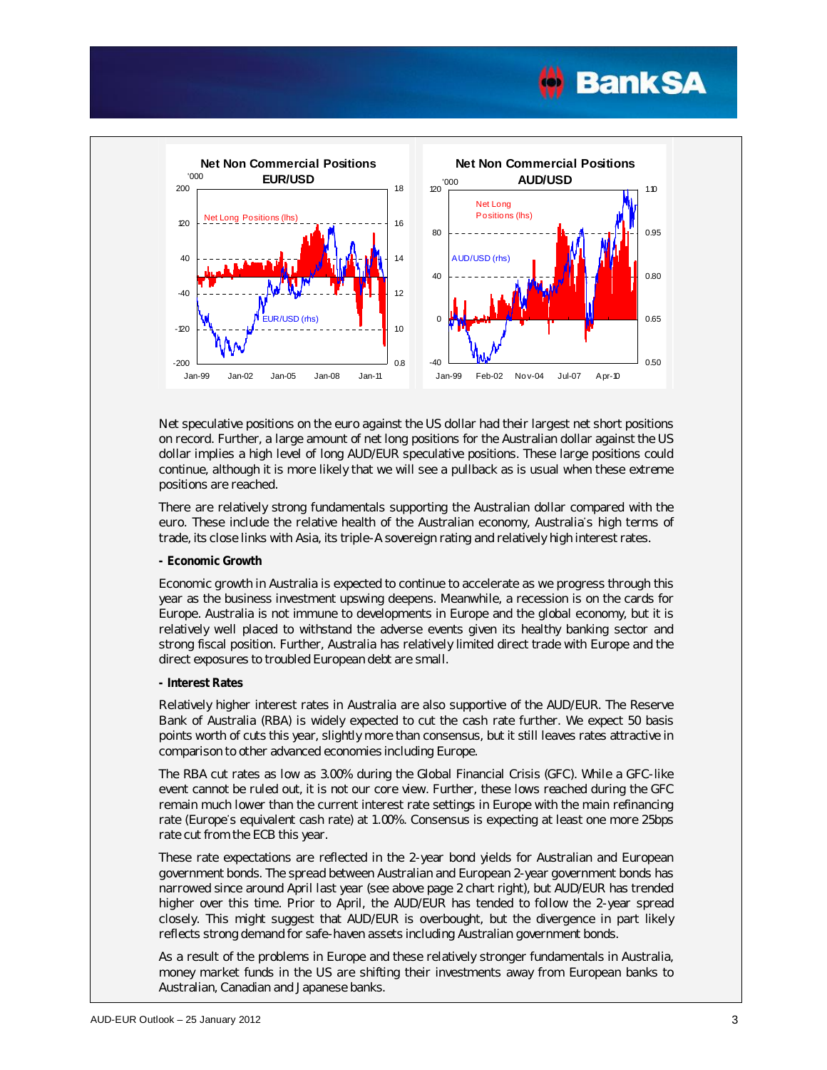



Net speculative positions on the euro against the US dollar had their largest net short positions on record. Further, a large amount of net long positions for the Australian dollar against the US dollar implies a high level of long AUD/EUR speculative positions. These large positions could continue, although it is more likely that we will see a pullback as is usual when these extreme positions are reached.

There are relatively strong fundamentals supporting the Australian dollar compared with the euro. These include the relative health of the Australian economy, Australia's high terms of trade, its close links with Asia, its triple-A sovereign rating and relatively high interest rates.

**- Economic Growth** 

Economic growth in Australia is expected to continue to accelerate as we progress through this year as the business investment upswing deepens. Meanwhile, a recession is on the cards for Europe. Australia is not immune to developments in Europe and the global economy, but it is relatively well placed to withstand the adverse events given its healthy banking sector and strong fiscal position. Further, Australia has relatively limited direct trade with Europe and the direct exposures to troubled European debt are small.

**- Interest Rates** 

Relatively higher interest rates in Australia are also supportive of the AUD/EUR. The Reserve Bank of Australia (RBA) is widely expected to cut the cash rate further. We expect 50 basis points worth of cuts this year, slightly more than consensus, but it still leaves rates attractive in comparison to other advanced economies including Europe.

The RBA cut rates as low as 3.00% during the Global Financial Crisis (GFC). While a GFC-like event cannot be ruled out, it is not our core view. Further, these lows reached during the GFC remain much lower than the current interest rate settings in Europe with the main refinancing rate (Europe's equivalent cash rate) at 1.00%. Consensus is expecting at least one more 25bps rate cut from the ECB this year.

These rate expectations are reflected in the 2-year bond yields for Australian and European government bonds. The spread between Australian and European 2-year government bonds has narrowed since around April last year (see above page 2 chart right), but AUD/EUR has trended higher over this time. Prior to April, the AUD/EUR has tended to follow the 2-year spread closely. This might suggest that AUD/EUR is overbought, but the divergence in part likely reflects strong demand for safe-haven assets including Australian government bonds.

As a result of the problems in Europe and these relatively stronger fundamentals in Australia, money market funds in the US are shifting their investments away from European banks to Australian, Canadian and Japanese banks.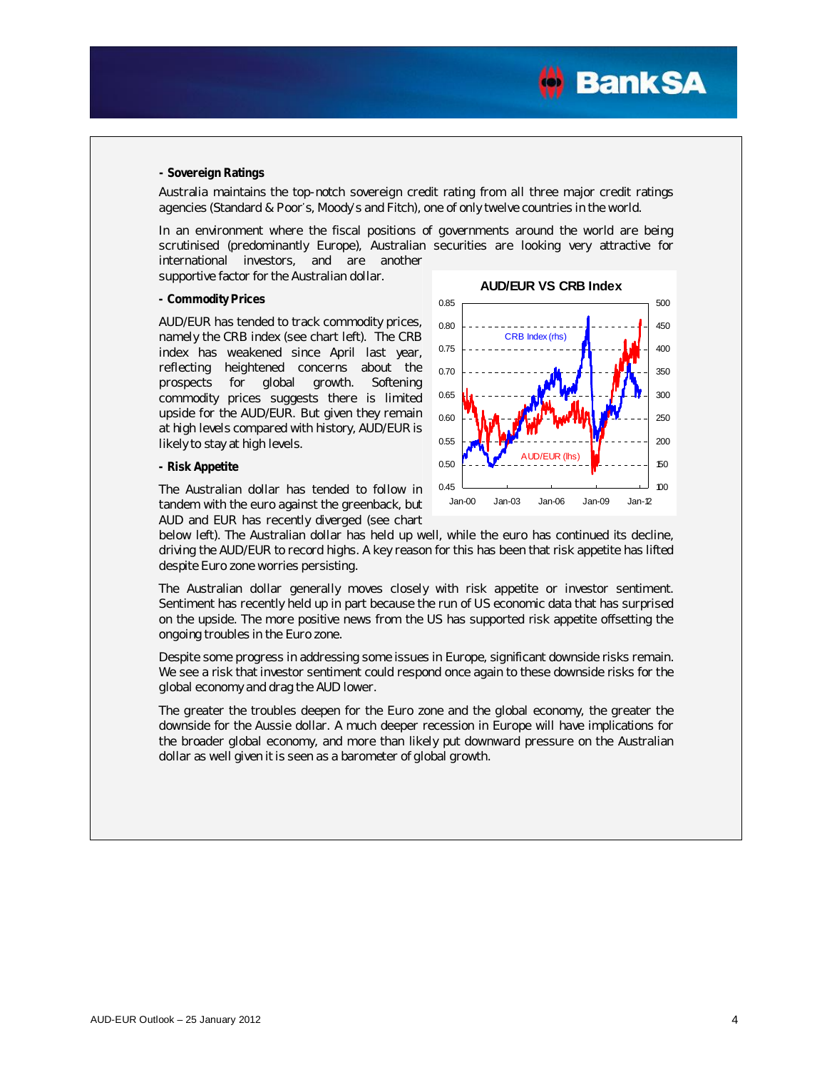

#### **- Sovereign Ratings**

Australia maintains the top-notch sovereign credit rating from all three major credit ratings agencies (Standard & Poor's, Moody's and Fitch), one of only twelve countries in the world.

In an environment where the fiscal positions of governments around the world are being scrutinised (predominantly Europe), Australian securities are looking very attractive for international investors, and are another

supportive factor for the Australian dollar.

#### **- Commodity Prices**

AUD/EUR has tended to track commodity prices, namely the CRB index (see chart left). The CRB index has weakened since April last year, reflecting heightened concerns about the prospects for global growth. Softening commodity prices suggests there is limited upside for the AUD/EUR. But given they remain at high levels compared with history, AUD/EUR is likely to stay at high levels.

#### **- Risk Appetite**

The Australian dollar has tended to follow in tandem with the euro against the greenback, but AUD and EUR has recently diverged (see chart



below left). The Australian dollar has held up well, while the euro has continued its decline, driving the AUD/EUR to record highs. A key reason for this has been that risk appetite has lifted despite Euro zone worries persisting.

The Australian dollar generally moves closely with risk appetite or investor sentiment. Sentiment has recently held up in part because the run of US economic data that has surprised on the upside. The more positive news from the US has supported risk appetite offsetting the ongoing troubles in the Euro zone.

Despite some progress in addressing some issues in Europe, significant downside risks remain. We see a risk that investor sentiment could respond once again to these downside risks for the global economy and drag the AUD lower.

The greater the troubles deepen for the Euro zone and the global economy, the greater the downside for the Aussie dollar. A much deeper recession in Europe will have implications for the broader global economy, and more than likely put downward pressure on the Australian dollar as well given it is seen as a barometer of global growth.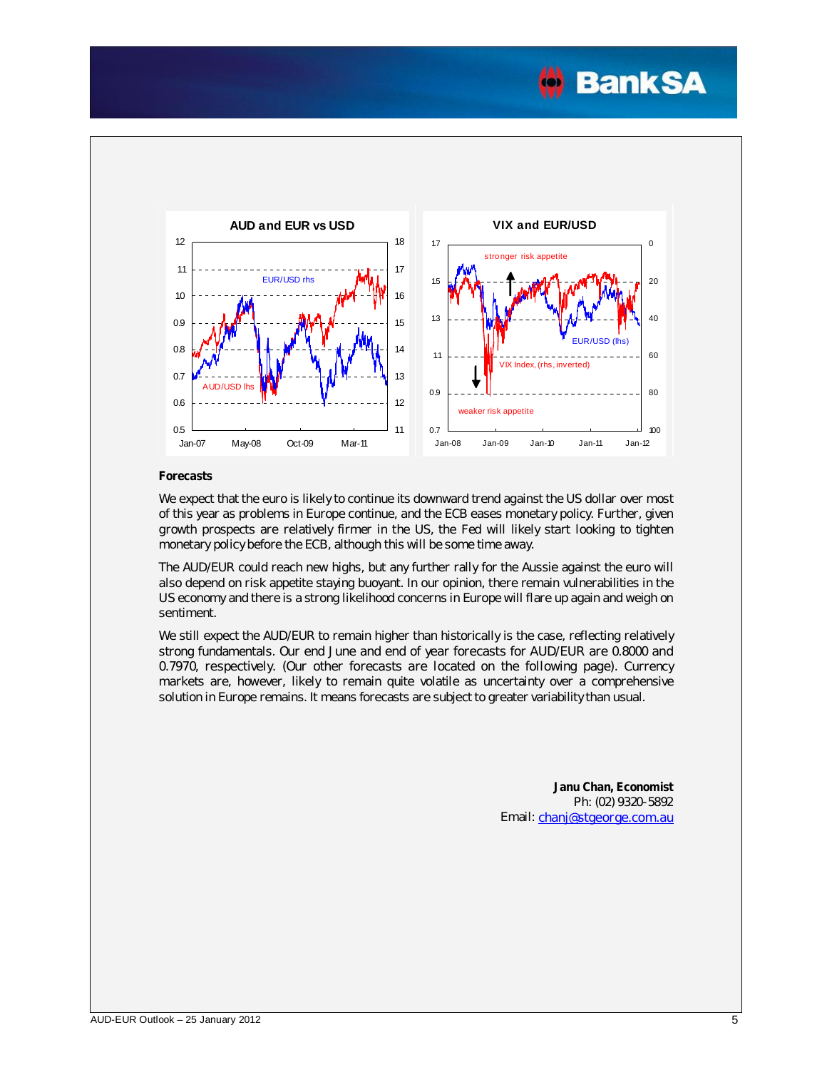



#### **Forecasts**

We expect that the euro is likely to continue its downward trend against the US dollar over most of this year as problems in Europe continue, and the ECB eases monetary policy. Further, given growth prospects are relatively firmer in the US, the Fed will likely start looking to tighten monetary policy before the ECB, although this will be some time away.

The AUD/EUR could reach new highs, but any further rally for the Aussie against the euro will also depend on risk appetite staying buoyant. In our opinion, there remain vulnerabilities in the US economy and there is a strong likelihood concerns in Europe will flare up again and weigh on sentiment.

We still expect the AUD/EUR to remain higher than historically is the case, reflecting relatively strong fundamentals. Our end June and end of year forecasts for AUD/EUR are 0.8000 and 0.7970, respectively. (Our other forecasts are located on the following page). Currency markets are, however, likely to remain quite volatile as uncertainty over a comprehensive solution in Europe remains. It means forecasts are subject to greater variability than usual.

> **Janu Chan, Economist** Ph: (02) 9320-5892 Email: [chanj@stgeorge.com.au](mailto:chanj@stgeorge.com.au)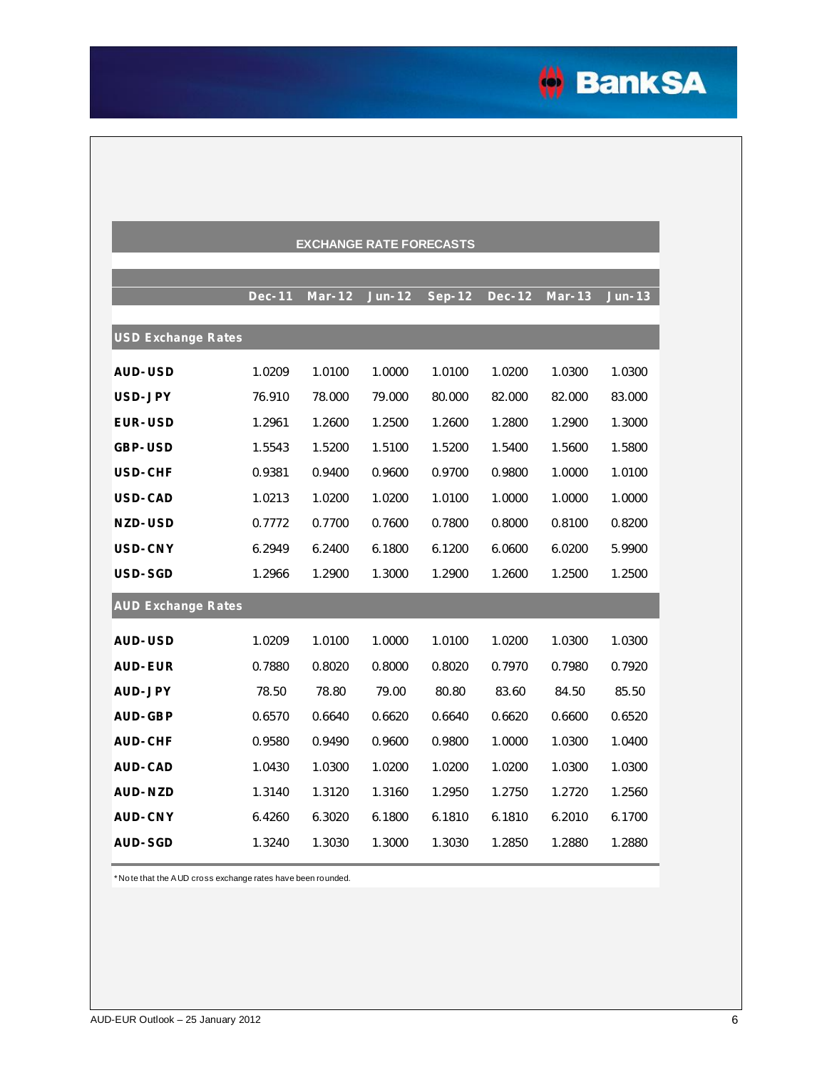

| <b>EXCHANGE RATE FORECASTS</b> |               |          |          |        |               |          |          |  |
|--------------------------------|---------------|----------|----------|--------|---------------|----------|----------|--|
|                                |               |          |          |        |               |          |          |  |
|                                | <b>Dec-11</b> | $Mar-12$ | $Jun-12$ | Sep-12 | <b>Dec-12</b> | $Mar-13$ | $Jun-13$ |  |
| <b>USD Exchange Rates</b>      |               |          |          |        |               |          |          |  |
| <b>AUD-USD</b>                 | 1.0209        | 1.0100   | 1.0000   | 1.0100 | 1.0200        | 1.0300   | 1.0300   |  |
| USD-JPY                        | 76.910        | 78.000   | 79.000   | 80.000 | 82.000        | 82.000   | 83.000   |  |
| <b>EUR-USD</b>                 | 1.2961        | 1.2600   | 1.2500   | 1.2600 | 1.2800        | 1.2900   | 1.3000   |  |
| GBP-USD                        | 1.5543        | 1.5200   | 1.5100   | 1.5200 | 1.5400        | 1.5600   | 1.5800   |  |
| USD-CHF                        | 0.9381        | 0.9400   | 0.9600   | 0.9700 | 0.9800        | 1.0000   | 1.0100   |  |
| USD-CAD                        | 1.0213        | 1.0200   | 1.0200   | 1.0100 | 1.0000        | 1.0000   | 1.0000   |  |
| NZD-USD                        | 0.7772        | 0.7700   | 0.7600   | 0.7800 | 0.8000        | 0.8100   | 0.8200   |  |
| USD-CNY                        | 6.2949        | 6.2400   | 6.1800   | 6.1200 | 6.0600        | 6.0200   | 5.9900   |  |
| USD-SGD                        | 1.2966        | 1.2900   | 1.3000   | 1.2900 | 1.2600        | 1.2500   | 1.2500   |  |
| <b>AUD Exchange Rates</b>      |               |          |          |        |               |          |          |  |
| <b>AUD-USD</b>                 | 1.0209        | 1.0100   | 1.0000   | 1.0100 | 1.0200        | 1.0300   | 1.0300   |  |
| <b>AUD-EUR</b>                 | 0.7880        | 0.8020   | 0.8000   | 0.8020 | 0.7970        | 0.7980   | 0.7920   |  |
| AUD-JPY                        | 78.50         | 78.80    | 79.00    | 80.80  | 83.60         | 84.50    | 85.50    |  |
| AUD-GBP                        | 0.6570        | 0.6640   | 0.6620   | 0.6640 | 0.6620        | 0.6600   | 0.6520   |  |
| <b>AUD-CHF</b>                 | 0.9580        | 0.9490   | 0.9600   | 0.9800 | 1.0000        | 1.0300   | 1.0400   |  |
| <b>AUD-CAD</b>                 | 1.0430        | 1.0300   | 1.0200   | 1.0200 | 1.0200        | 1.0300   | 1.0300   |  |
| AUD-NZD                        | 1.3140        | 1.3120   | 1.3160   | 1.2950 | 1.2750        | 1.2720   | 1.2560   |  |
| <b>AUD-CNY</b>                 | 6.4260        | 6.3020   | 6.1800   | 6.1810 | 6.1810        | 6.2010   | 6.1700   |  |
| AUD-SGD                        | 1.3240        | 1.3030   | 1.3000   | 1.3030 | 1.2850        | 1.2880   | 1.2880   |  |

\* Note that the AUD cross exchange rates have been rounded.